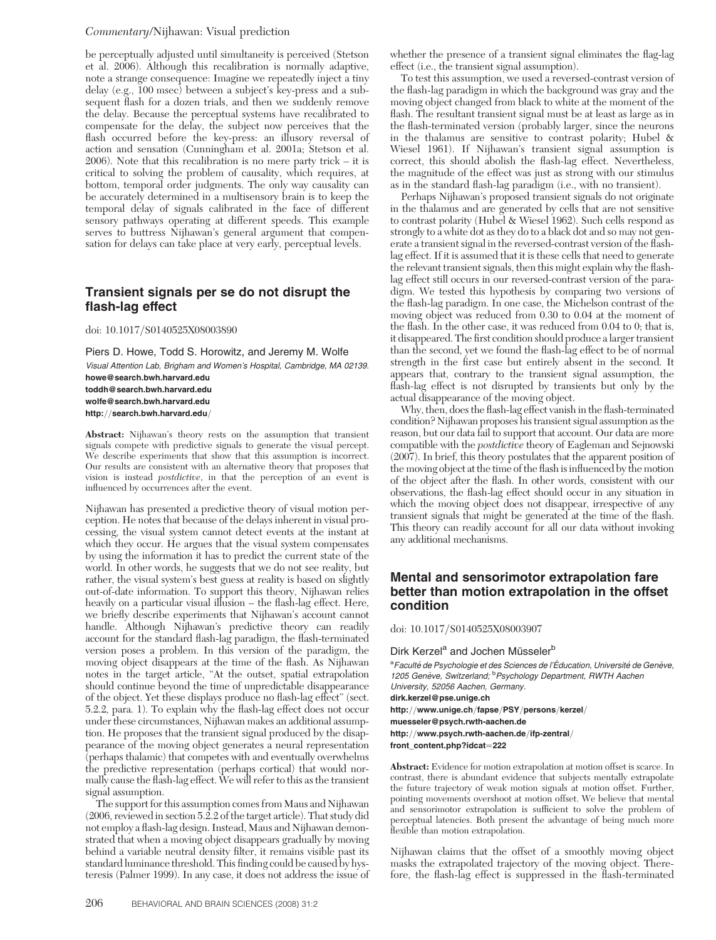### Commentary/Nijhawan: Visual prediction

be perceptually adjusted until simultaneity is perceived (Stetson et al. 2006). Although this recalibration is normally adaptive, note a strange consequence: Imagine we repeatedly inject a tiny delay (e.g., 100 msec) between a subject's key-press and a subsequent flash for a dozen trials, and then we suddenly remove the delay. Because the perceptual systems have recalibrated to compensate for the delay, the subject now perceives that the flash occurred before the key-press: an illusory reversal of action and sensation (Cunningham et al. 2001a; Stetson et al. 2006). Note that this recalibration is no mere party trick – it is critical to solving the problem of causality, which requires, at bottom, temporal order judgments. The only way causality can be accurately determined in a multisensory brain is to keep the temporal delay of signals calibrated in the face of different sensory pathways operating at different speeds. This example serves to buttress Nijhawan's general argument that compensation for delays can take place at very early, perceptual levels.

# Transient signals per se do not disrupt the flash-lag effect

doi: 10.1017/S0140525X08003890

Piers D. Howe, Todd S. Horowitz, and Jeremy M. Wolfe Visual Attention Lab, Brigham and Women's Hospital, Cambridge, MA 02139. howe@search.bwh.harvard.edu toddh@search.bwh.harvard.edu wolfe@search.bwh.harvard.edu http://search.bwh.harvard.edu/

Abstract: Nijhawan's theory rests on the assumption that transient signals compete with predictive signals to generate the visual percept. We describe experiments that show that this assumption is incorrect. Our results are consistent with an alternative theory that proposes that vision is instead postdictive, in that the perception of an event is influenced by occurrences after the event.

Nijhawan has presented a predictive theory of visual motion perception. He notes that because of the delays inherent in visual processing, the visual system cannot detect events at the instant at which they occur. He argues that the visual system compensates by using the information it has to predict the current state of the world. In other words, he suggests that we do not see reality, but rather, the visual system's best guess at reality is based on slightly out-of-date information. To support this theory, Nijhawan relies heavily on a particular visual illusion – the flash-lag effect. Here, we briefly describe experiments that Nijhawan's account cannot handle. Although Nijhawan's predictive theory can readily account for the standard flash-lag paradigm, the flash-terminated version poses a problem. In this version of the paradigm, the moving object disappears at the time of the flash. As Nijhawan notes in the target article, "At the outset, spatial extrapolation should continue beyond the time of unpredictable disappearance of the object. Yet these displays produce no flash-lag effect" (sect. 5.2.2, para. 1). To explain why the flash-lag effect does not occur under these circumstances, Nijhawan makes an additional assumption. He proposes that the transient signal produced by the disappearance of the moving object generates a neural representation (perhaps thalamic) that competes with and eventually overwhelms the predictive representation (perhaps cortical) that would normally cause the flash-lag effect. We will refer to this as the transient signal assumption.

The support for this assumption comes from Maus and Nijhawan (2006, reviewed in section 5.2.2 of the target article). That study did not employ a flash-lag design. Instead, Maus and Nijhawan demonstrated that when a moving object disappears gradually by moving behind a variable neutral density filter, it remains visible past its standard luminance threshold. This finding could be caused by hysteresis (Palmer 1999). In any case, it does not address the issue of whether the presence of a transient signal eliminates the flag-lag effect (i.e., the transient signal assumption).

To test this assumption, we used a reversed-contrast version of the flash-lag paradigm in which the background was gray and the moving object changed from black to white at the moment of the flash. The resultant transient signal must be at least as large as in the flash-terminated version (probably larger, since the neurons in the thalamus are sensitive to contrast polarity; Hubel & Wiesel 1961). If Nijhawan's transient signal assumption is correct, this should abolish the flash-lag effect. Nevertheless, the magnitude of the effect was just as strong with our stimulus as in the standard flash-lag paradigm (i.e., with no transient).

Perhaps Nijhawan's proposed transient signals do not originate in the thalamus and are generated by cells that are not sensitive to contrast polarity (Hubel & Wiesel 1962). Such cells respond as strongly to a white dot as they do to a black dot and so may not generate a transient signal in the reversed-contrast version of the flashlag effect. If it is assumed that it is these cells that need to generate the relevant transient signals, then this might explain why the flashlag effect still occurs in our reversed-contrast version of the paradigm. We tested this hypothesis by comparing two versions of the flash-lag paradigm. In one case, the Michelson contrast of the moving object was reduced from 0.30 to 0.04 at the moment of the flash. In the other case, it was reduced from 0.04 to 0; that is, it disappeared. The first condition should produce a larger transient than the second, yet we found the flash-lag effect to be of normal strength in the first case but entirely absent in the second. It appears that, contrary to the transient signal assumption, the flash-lag effect is not disrupted by transients but only by the actual disappearance of the moving object.

Why, then, does the flash-lag effect vanish in the flash-terminated condition? Nijhawan proposes his transient signal assumption as the reason, but our data fail to support that account. Our data are more compatible with the *postdictive* theory of Eagleman and Sejnowski (2007). In brief, this theory postulates that the apparent position of the moving object at the time of the flash is influenced by the motion of the object after the flash. In other words, consistent with our observations, the flash-lag effect should occur in any situation in which the moving object does not disappear, irrespective of any transient signals that might be generated at the time of the flash. This theory can readily account for all our data without invoking any additional mechanisms.

# Mental and sensorimotor extrapolation fare better than motion extrapolation in the offset condition

doi: 10.1017/S0140525X08003907

Dirk Kerzel<sup>a</sup> and Jochen Müsseler<sup>b</sup>

<sup>a</sup>Faculté de Psychologie et des Sciences de l'Éducation, Université de Genève, 1205 Genève, Switzerland; <sup>b</sup>Psychology Department, RWTH Aachen University, 52056 Aachen, Germany.

dirk.kerzel@pse.unige.ch

http://www.unige.ch/fapse/PSY/persons/kerzel/ muesseler@psych.rwth-aachen.de

http://www.psych.rwth-aachen.de/ifp-zentral/

front\_content.php?idcat=222

Abstract: Evidence for motion extrapolation at motion offset is scarce. In contrast, there is abundant evidence that subjects mentally extrapolate the future trajectory of weak motion signals at motion offset. Further, pointing movements overshoot at motion offset. We believe that mental and sensorimotor extrapolation is sufficient to solve the problem of perceptual latencies. Both present the advantage of being much more flexible than motion extrapolation.

Nijhawan claims that the offset of a smoothly moving object masks the extrapolated trajectory of the moving object. Therefore, the flash-lag effect is suppressed in the flash-terminated